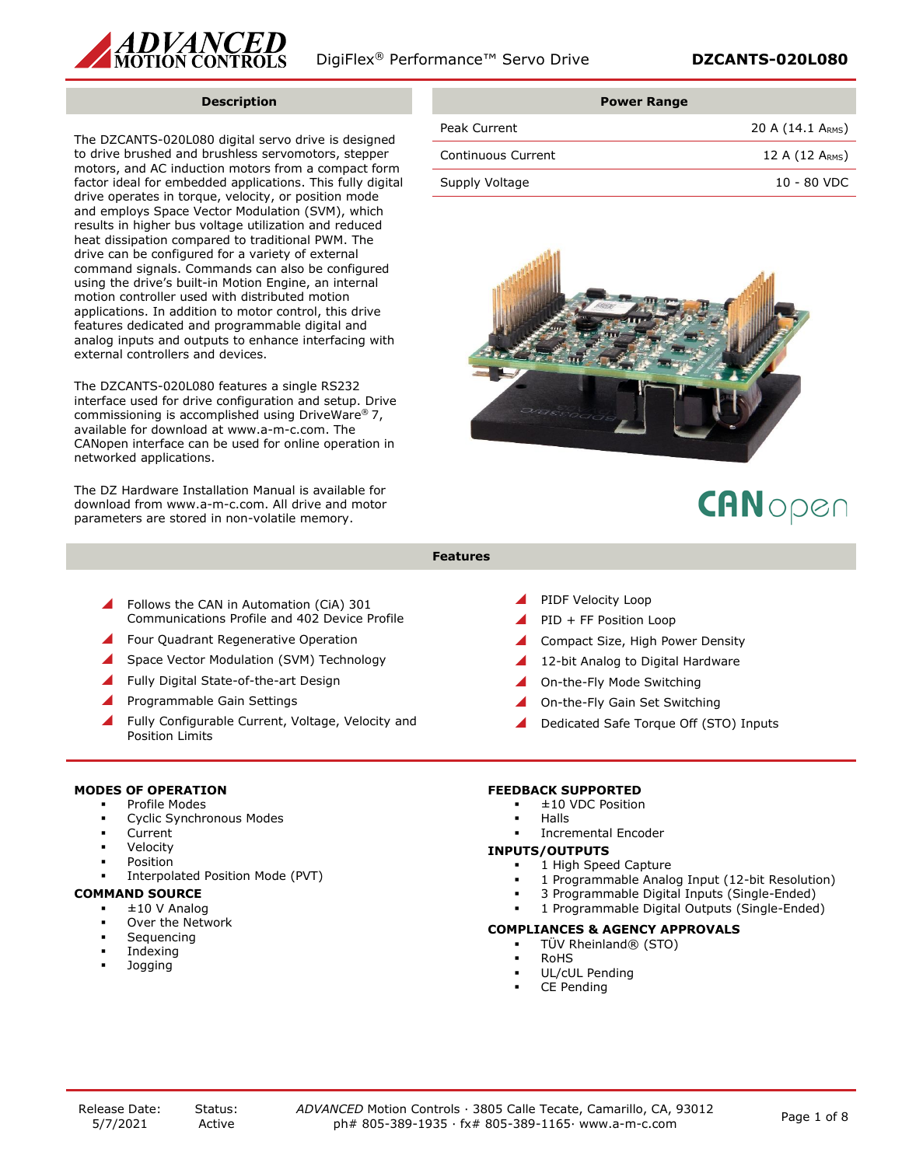

## **Description**

The DZCANTS-020L080 digital servo drive is designed to drive brushed and brushless servomotors, stepper motors, and AC induction motors from a compact form factor ideal for embedded applications. This fully digital drive operates in torque, velocity, or position mode and employs Space Vector Modulation (SVM), which results in higher bus voltage utilization and reduced heat dissipation compared to traditional PWM. The drive can be configured for a variety of external command signals. Commands can also be configured using the drive's built-in Motion Engine, an internal motion controller used with distributed motion applications. In addition to motor control, this drive features dedicated and programmable digital and analog inputs and outputs to enhance interfacing with external controllers and devices.

The DZCANTS-020L080 features a single RS232 interface used for drive configuration and setup. Drive commissioning is accomplished using DriveWare® 7, available for download at www.a-m-c.com. The CANopen interface can be used for online operation in networked applications.

The DZ Hardware Installation Manual is available for download from www.a-m-c.com. All drive and motor parameters are stored in non-volatile memory.

|                    | <b>Power Range</b>          |
|--------------------|-----------------------------|
| Peak Current       | 20 A (14.1 ARMS)            |
| Continuous Current | 12 A $(12 \text{ A}_{RMS})$ |
| Supply Voltage     | $10 - 80$ VDC               |



# CANopen

- **Features**
- Follows the CAN in Automation (CiA) 301 Communications Profile and 402 Device Profile
- Four Quadrant Regenerative Operation
- Space Vector Modulation (SVM) Technology
- Fully Digital State-of-the-art Design
- Programmable Gain Settings
- Fully Configurable Current, Voltage, Velocity and Position Limits

## **MODES OF OPERATION**

- Profile Modes
- Cyclic Synchronous Modes
- **Current**
- Velocity
- **Position**
- Interpolated Position Mode (PVT)

## **COMMAND SOURCE**

- $± 10$  V Analog
- Over the Network
- Sequencing
- **Indexing**
- **Jogging**
- PIDF Velocity Loop
- PID + FF Position Loop
- Compact Size, High Power Density
- 12-bit Analog to Digital Hardware
- On-the-Fly Mode Switching
- On-the-Fly Gain Set Switching
- Dedicated Safe Torque Off (STO) Inputs

## **FEEDBACK SUPPORTED**

- ±10 VDC Position
- **Halls**
- Incremental Encoder

#### **INPUTS/OUTPUTS**

- 1 High Speed Capture
- 1 Programmable Analog Input (12-bit Resolution)
- 3 Programmable Digital Inputs (Single-Ended)
- 1 Programmable Digital Outputs (Single-Ended)

## **COMPLIANCES & AGENCY APPROVALS**

- TÜV Rheinland® (STO)
- **RoHS**
- UL/cUL Pending
- CE Pending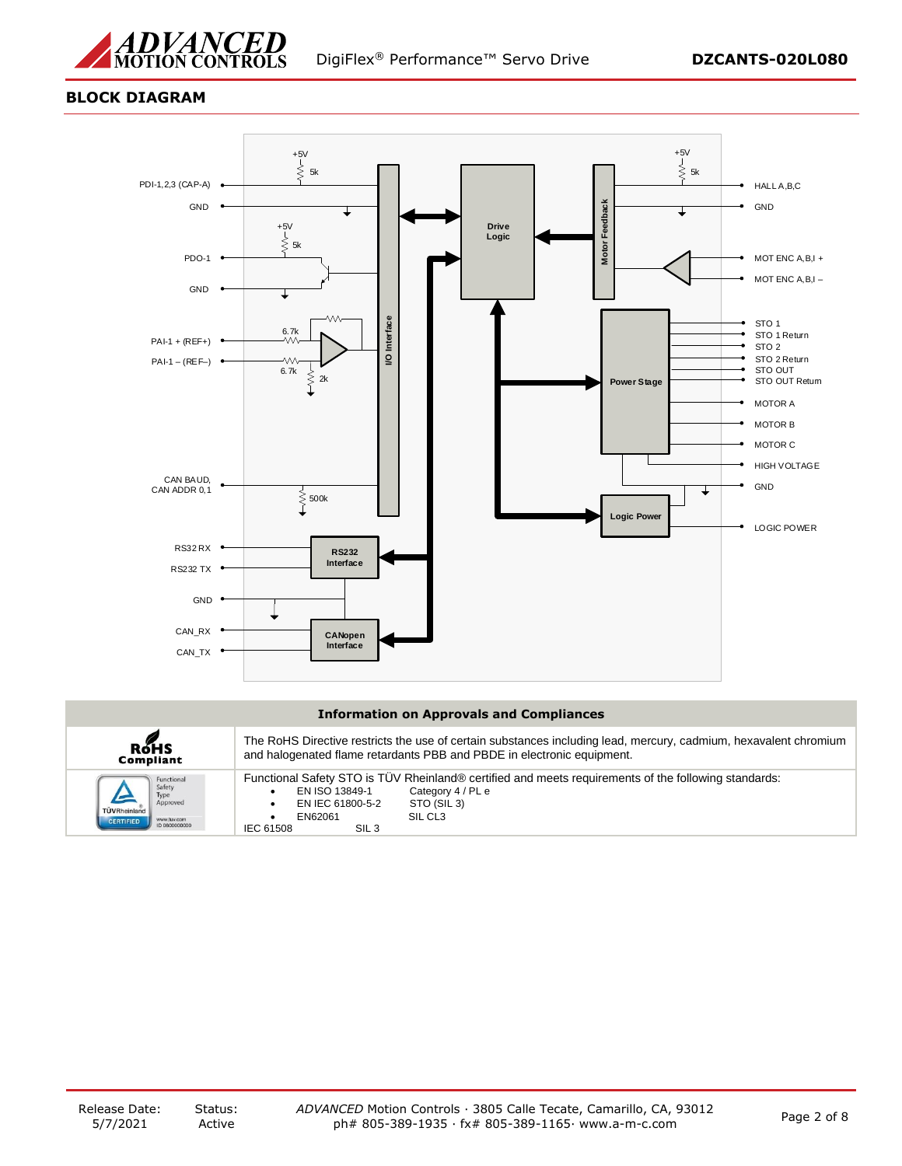

## **BLOCK DIAGRAM**



## **Information on Approvals and Compliances**

| <b>ROHS</b>                                                                                                  | The RoHS Directive restricts the use of certain substances including lead, mercury, cadmium, hexavalent chromium                                                                                                                                  |
|--------------------------------------------------------------------------------------------------------------|---------------------------------------------------------------------------------------------------------------------------------------------------------------------------------------------------------------------------------------------------|
| Compliant                                                                                                    | and halogenated flame retardants PBB and PBDE in electronic equipment.                                                                                                                                                                            |
| Functional<br>Safety<br>Type<br>Approved<br>TÜVRheinland<br>www.tuv.com<br><b>CERTIFIED</b><br>ID 0600000000 | Functional Safety STO is TUV Rheinland® certified and meets requirements of the following standards:<br>Category 4 / PL e<br>EN ISO 13849-1<br>EN IEC 61800-5-2<br>STO (SIL 3)<br>SIL CL <sub>3</sub><br>EN62061<br>IEC 61508<br>SIL <sub>3</sub> |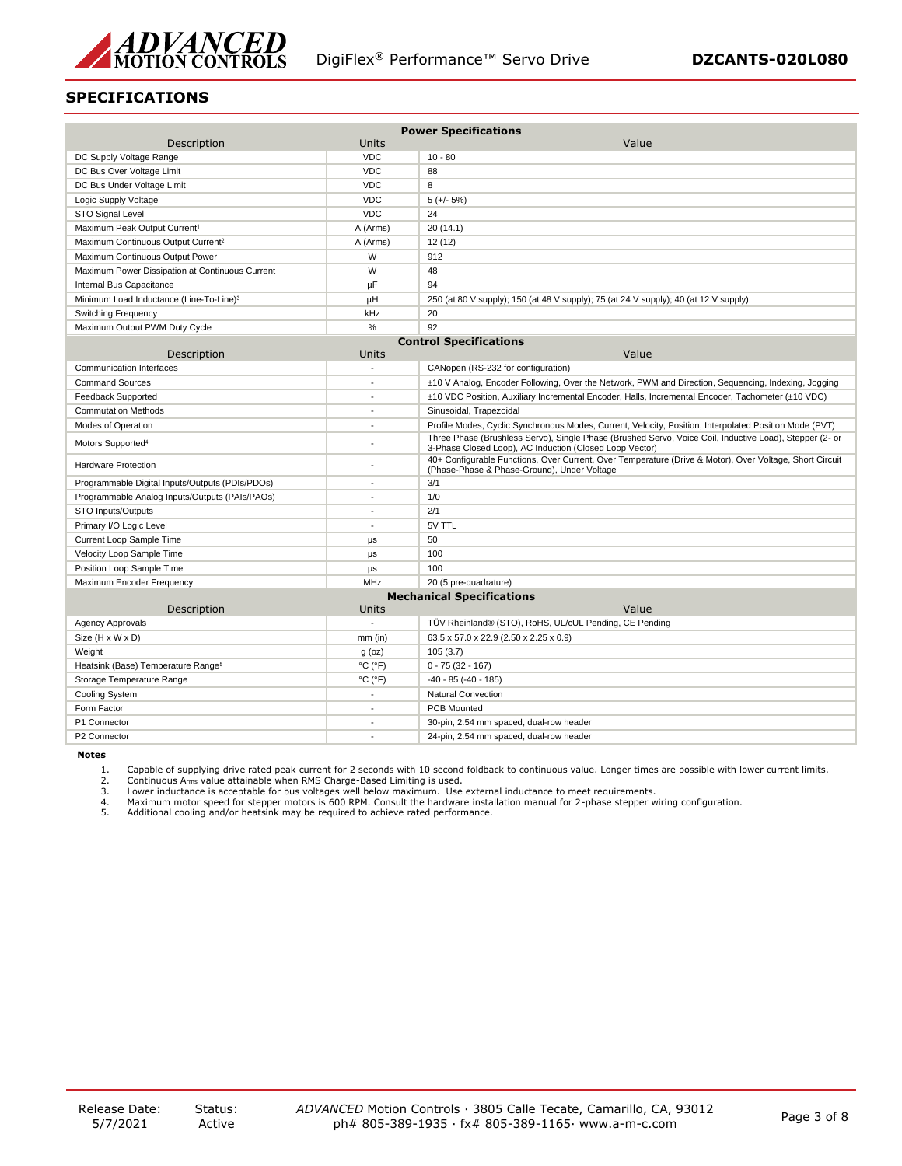

## **SPECIFICATIONS**

| <b>Power Specifications</b>                         |                              |                                                                                                                                                                    |  |  |
|-----------------------------------------------------|------------------------------|--------------------------------------------------------------------------------------------------------------------------------------------------------------------|--|--|
| Description                                         | <b>Units</b>                 | Value                                                                                                                                                              |  |  |
| DC Supply Voltage Range                             | <b>VDC</b>                   | $10 - 80$                                                                                                                                                          |  |  |
| DC Bus Over Voltage Limit                           | <b>VDC</b>                   | 88                                                                                                                                                                 |  |  |
| DC Bus Under Voltage Limit                          | <b>VDC</b>                   | 8                                                                                                                                                                  |  |  |
| Logic Supply Voltage                                | <b>VDC</b>                   | $5 (+/- 5%)$                                                                                                                                                       |  |  |
| STO Signal Level                                    | <b>VDC</b>                   | 24                                                                                                                                                                 |  |  |
| Maximum Peak Output Current <sup>1</sup>            | A (Arms)                     | 20(14.1)                                                                                                                                                           |  |  |
| Maximum Continuous Output Current <sup>2</sup>      | A (Arms)                     | 12 (12)                                                                                                                                                            |  |  |
| Maximum Continuous Output Power                     | W                            | 912                                                                                                                                                                |  |  |
| Maximum Power Dissipation at Continuous Current     | W                            | 48                                                                                                                                                                 |  |  |
| Internal Bus Capacitance                            | μF                           | 94                                                                                                                                                                 |  |  |
| Minimum Load Inductance (Line-To-Line) <sup>3</sup> | μH                           | 250 (at 80 V supply); 150 (at 48 V supply); 75 (at 24 V supply); 40 (at 12 V supply)                                                                               |  |  |
| Switching Frequency                                 | kHz                          | 20                                                                                                                                                                 |  |  |
| Maximum Output PWM Duty Cycle                       | %                            | 92                                                                                                                                                                 |  |  |
| <b>Control Specifications</b>                       |                              |                                                                                                                                                                    |  |  |
| Description                                         | Units                        | Value                                                                                                                                                              |  |  |
| <b>Communication Interfaces</b>                     | ÷.                           | CANopen (RS-232 for configuration)                                                                                                                                 |  |  |
| <b>Command Sources</b>                              |                              | ±10 V Analog, Encoder Following, Over the Network, PWM and Direction, Sequencing, Indexing, Jogging                                                                |  |  |
| Feedback Supported                                  | Ξ                            | ±10 VDC Position, Auxiliary Incremental Encoder, Halls, Incremental Encoder, Tachometer (±10 VDC)                                                                  |  |  |
| <b>Commutation Methods</b>                          | $\overline{a}$               | Sinusoidal, Trapezoidal                                                                                                                                            |  |  |
| Modes of Operation                                  | ٠                            | Profile Modes, Cyclic Synchronous Modes, Current, Velocity, Position, Interpolated Position Mode (PVT)                                                             |  |  |
| Motors Supported <sup>4</sup>                       |                              | Three Phase (Brushless Servo), Single Phase (Brushed Servo, Voice Coil, Inductive Load), Stepper (2- or<br>3-Phase Closed Loop), AC Induction (Closed Loop Vector) |  |  |
| <b>Hardware Protection</b>                          |                              | 40+ Configurable Functions, Over Current, Over Temperature (Drive & Motor), Over Voltage, Short Circuit<br>(Phase-Phase & Phase-Ground), Under Voltage             |  |  |
| Programmable Digital Inputs/Outputs (PDIs/PDOs)     | $\overline{a}$               | 3/1                                                                                                                                                                |  |  |
| Programmable Analog Inputs/Outputs (PAIs/PAOs)      | ÷,                           | 1/0                                                                                                                                                                |  |  |
| STO Inputs/Outputs                                  | ÷                            | 2/1                                                                                                                                                                |  |  |
| Primary I/O Logic Level                             | ÷                            | 5V TTL                                                                                                                                                             |  |  |
| Current Loop Sample Time                            | μs                           | 50                                                                                                                                                                 |  |  |
| Velocity Loop Sample Time                           | μs                           | 100                                                                                                                                                                |  |  |
| Position Loop Sample Time                           | μs                           | 100                                                                                                                                                                |  |  |
| Maximum Encoder Frequency                           | MHz                          | 20 (5 pre-quadrature)                                                                                                                                              |  |  |
| <b>Mechanical Specifications</b>                    |                              |                                                                                                                                                                    |  |  |
| <b>Description</b>                                  | <b>Units</b>                 | Value                                                                                                                                                              |  |  |
| <b>Agency Approvals</b>                             | ÷,                           | TÜV Rheinland® (STO), RoHS, UL/cUL Pending, CE Pending                                                                                                             |  |  |
| Size (H x W x D)                                    | $mm$ (in)                    | 63.5 x 57.0 x 22.9 (2.50 x 2.25 x 0.9)                                                                                                                             |  |  |
| Weight                                              | $g$ (oz)                     | 105 (3.7)                                                                                                                                                          |  |  |
| Heatsink (Base) Temperature Range <sup>5</sup>      | $^{\circ}$ C ( $^{\circ}$ F) | $0 - 75(32 - 167)$                                                                                                                                                 |  |  |
| Storage Temperature Range                           | $^{\circ}$ C ( $^{\circ}$ F) | $-40 - 85 (-40 - 185)$                                                                                                                                             |  |  |
| Cooling System                                      |                              | <b>Natural Convection</b>                                                                                                                                          |  |  |
| Form Factor                                         | $\overline{a}$               | <b>PCB Mounted</b>                                                                                                                                                 |  |  |
| P1 Connector                                        | ÷.                           | 30-pin, 2.54 mm spaced, dual-row header                                                                                                                            |  |  |
| P2 Connector                                        |                              | 24-pin, 2.54 mm spaced, dual-row header                                                                                                                            |  |  |

**Notes**

1. Capable of supplying drive rated peak current for 2 seconds with 10 second foldback to continuous value. Longer times are possible with lower current limits.<br>2. Continuous Ams value attainable when RMS Charge-Based Limi

2. Continuous A<sub>rms</sub> value attainable when RMS Charge-Based Limiting is used.<br>
2. Lower inductance is acceptable for bus voltages well below maximum. Use<br>
4. Maximum motor speed for stepper motors is 600 RPM. Consult the h 3. Lower inductance is acceptable for bus voltages well below maximum. Use external inductance to meet requirements.<br>4. Maximum motor speed for stepper motors is 600 RPM. Consult the hardware installation manual for 2-phas

5. Additional cooling and/or heatsink may be required to achieve rated performance.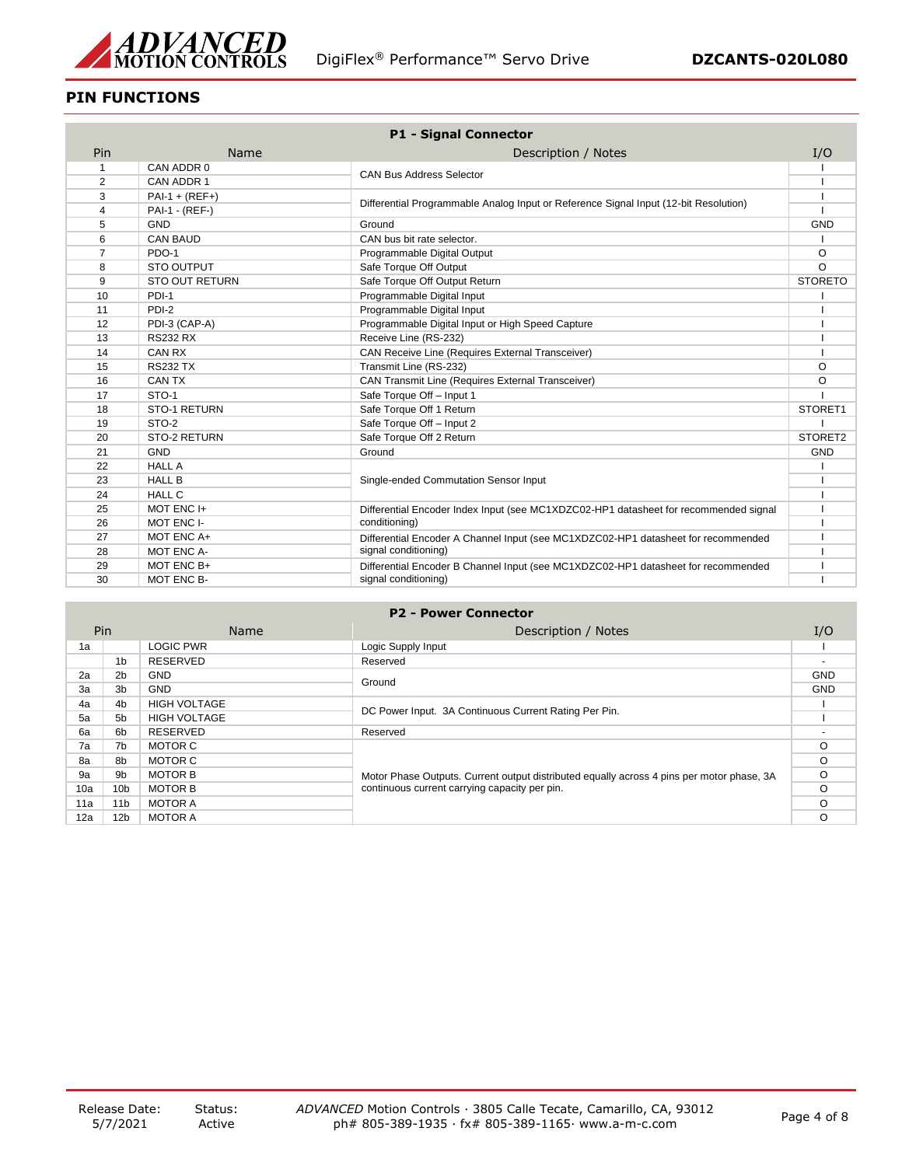

# **PIN FUNCTIONS**

| <b>P1 - Signal Connector</b> |                       |                                                                                      |                |
|------------------------------|-----------------------|--------------------------------------------------------------------------------------|----------------|
| Pin                          | Name                  | Description / Notes                                                                  | I/O            |
| 1                            | CAN ADDR 0            |                                                                                      |                |
| 2                            | CAN ADDR 1            | <b>CAN Bus Address Selector</b>                                                      |                |
| 3                            | $PAI - 1 + (REF+)$    |                                                                                      |                |
| 4                            | PAI-1 - (REF-)        | Differential Programmable Analog Input or Reference Signal Input (12-bit Resolution) |                |
| 5                            | <b>GND</b>            | Ground                                                                               | <b>GND</b>     |
| 6                            | <b>CAN BAUD</b>       | CAN bus bit rate selector.                                                           |                |
| $\overline{7}$               | PDO-1                 | Programmable Digital Output                                                          | $\circ$        |
| 8                            | <b>STO OUTPUT</b>     | Safe Torque Off Output                                                               | O              |
| 9                            | <b>STO OUT RETURN</b> | Safe Torque Off Output Return                                                        | <b>STORETO</b> |
| 10                           | PDI-1                 | Programmable Digital Input                                                           |                |
| 11                           | PDI-2                 | Programmable Digital Input                                                           |                |
| 12                           | PDI-3 (CAP-A)         | Programmable Digital Input or High Speed Capture                                     |                |
| 13                           | <b>RS232 RX</b>       | Receive Line (RS-232)                                                                |                |
| 14                           | <b>CAN RX</b>         | CAN Receive Line (Requires External Transceiver)                                     |                |
| 15                           | <b>RS232 TX</b>       | Transmit Line (RS-232)                                                               | O              |
| 16                           | <b>CAN TX</b>         | CAN Transmit Line (Requires External Transceiver)                                    | O              |
| 17                           | STO-1                 | Safe Torque Off - Input 1                                                            |                |
| 18                           | STO-1 RETURN          | Safe Torque Off 1 Return                                                             | STORET1        |
| 19                           | STO-2                 | Safe Torque Off - Input 2                                                            |                |
| 20                           | STO-2 RETURN          | Safe Torque Off 2 Return                                                             | STORET2        |
| 21                           | <b>GND</b>            | Ground                                                                               | <b>GND</b>     |
| 22                           | <b>HALL A</b>         |                                                                                      |                |
| 23                           | <b>HALL B</b>         | Single-ended Commutation Sensor Input                                                |                |
| 24                           | <b>HALL C</b>         |                                                                                      |                |
| 25                           | MOT ENC I+            | Differential Encoder Index Input (see MC1XDZC02-HP1 datasheet for recommended signal |                |
| 26                           | MOT ENC I-            | conditioning)                                                                        |                |
| 27                           | MOT ENC A+            | Differential Encoder A Channel Input (see MC1XDZC02-HP1 datasheet for recommended    |                |
| 28                           | MOT ENC A-            | signal conditioning)                                                                 |                |
| 29                           | MOT ENC B+            | Differential Encoder B Channel Input (see MC1XDZC02-HP1 datasheet for recommended    |                |
| 30                           | MOT ENC B-            | signal conditioning)                                                                 |                |

| <b>P2 - Power Connector</b> |  |
|-----------------------------|--|
|-----------------------------|--|

|     | Pin             | <b>Name</b>         | Description / Notes                                                                                                                        | I/O        |
|-----|-----------------|---------------------|--------------------------------------------------------------------------------------------------------------------------------------------|------------|
| 1a  |                 | <b>LOGIC PWR</b>    | Logic Supply Input                                                                                                                         |            |
|     | 1 <sub>b</sub>  | <b>RESERVED</b>     | Reserved                                                                                                                                   |            |
| 2a  | 2 <sub>b</sub>  | <b>GND</b>          |                                                                                                                                            | <b>GND</b> |
| 3a  | 3b              | <b>GND</b>          | Ground                                                                                                                                     |            |
| 4a  | 4 <sub>b</sub>  | <b>HIGH VOLTAGE</b> | DC Power Input. 3A Continuous Current Rating Per Pin.                                                                                      |            |
| 5a  | 5b              | <b>HIGH VOLTAGE</b> |                                                                                                                                            |            |
| 6a  | 6b              | RESERVED            | Reserved                                                                                                                                   |            |
| 7a  | 7b              | MOTOR C             |                                                                                                                                            | O          |
| 8a  | 8b              | MOTOR C             | Motor Phase Outputs. Current output distributed equally across 4 pins per motor phase, 3A<br>continuous current carrying capacity per pin. | $\circ$    |
| 9а  | 9b              | <b>MOTOR B</b>      |                                                                                                                                            | $\circ$    |
| 10a | 10 <sub>b</sub> | <b>MOTOR B</b>      |                                                                                                                                            | O          |
| 11a | 11 <sub>b</sub> | MOTOR A             |                                                                                                                                            |            |
| 12a | 12 <sub>b</sub> | MOTOR A             |                                                                                                                                            |            |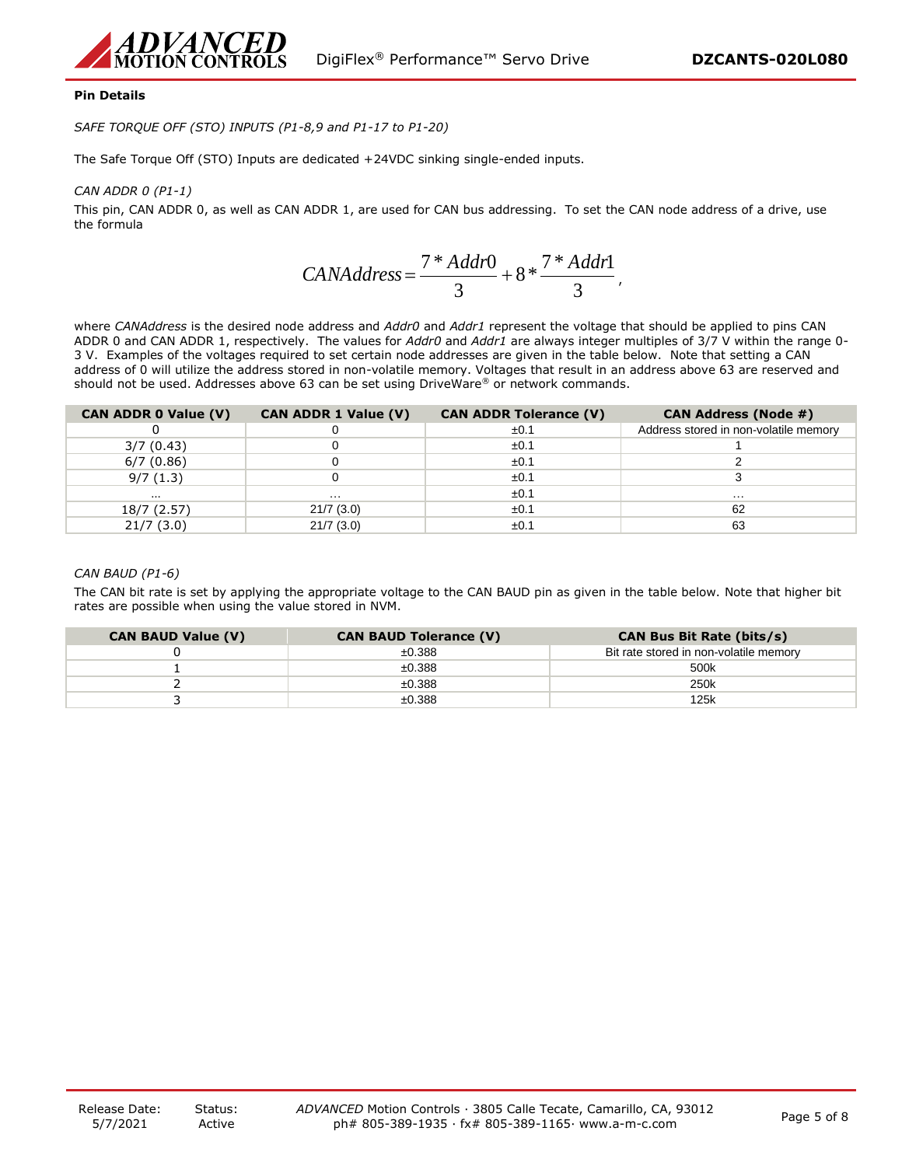

## **Pin Details**

*SAFE TORQUE OFF (STO) INPUTS (P1-8,9 and P1-17 to P1-20)*

The Safe Torque Off (STO) Inputs are dedicated +24VDC sinking single-ended inputs.

## *CAN ADDR 0 (P1-1)*

This pin, CAN ADDR 0, as well as CAN ADDR 1, are used for CAN bus addressing. To set the CAN node address of a drive, use the formula

$$
CANAddress = \frac{7 * Addr0}{3} + 8 * \frac{7 * Addr1}{3},
$$

where *CANAddress* is the desired node address and *Addr0* and *Addr1* represent the voltage that should be applied to pins CAN ADDR 0 and CAN ADDR 1, respectively. The values for *Addr0* and *Addr1* are always integer multiples of 3/7 V within the range 0- 3 V. Examples of the voltages required to set certain node addresses are given in the table below. Note that setting a CAN address of 0 will utilize the address stored in non-volatile memory. Voltages that result in an address above 63 are reserved and should not be used. Addresses above 63 can be set using DriveWare® or network commands.

| <b>CAN ADDR 0 Value (V)</b> | <b>CAN ADDR 1 Value (V)</b> | <b>CAN ADDR Tolerance (V)</b> | <b>CAN Address (Node #)</b>           |
|-----------------------------|-----------------------------|-------------------------------|---------------------------------------|
|                             |                             | ±0.1                          | Address stored in non-volatile memory |
| 3/7(0.43)                   |                             | ±0.1                          |                                       |
| 6/7(0.86)                   |                             | ±0.1                          |                                       |
| 9/7(1.3)                    |                             | ±0.1                          |                                       |
|                             | .                           | ±0.1                          | .                                     |
| 18/7 (2.57)                 | 21/7(3.0)                   | ±0.1                          | 62                                    |
| 21/7(3.0)                   | 21/7(3.0)                   | ±0.1                          | 63                                    |

## *CAN BAUD (P1-6)*

The CAN bit rate is set by applying the appropriate voltage to the CAN BAUD pin as given in the table below. Note that higher bit rates are possible when using the value stored in NVM.

| <b>CAN BAUD Value (V)</b> | <b>CAN BAUD Tolerance (V)</b> | <b>CAN Bus Bit Rate (bits/s)</b>       |
|---------------------------|-------------------------------|----------------------------------------|
|                           | ±0.388                        | Bit rate stored in non-volatile memory |
|                           | ±0.388                        | 500k                                   |
|                           | ±0.388                        | 250k                                   |
|                           | ±0.388                        | 125k                                   |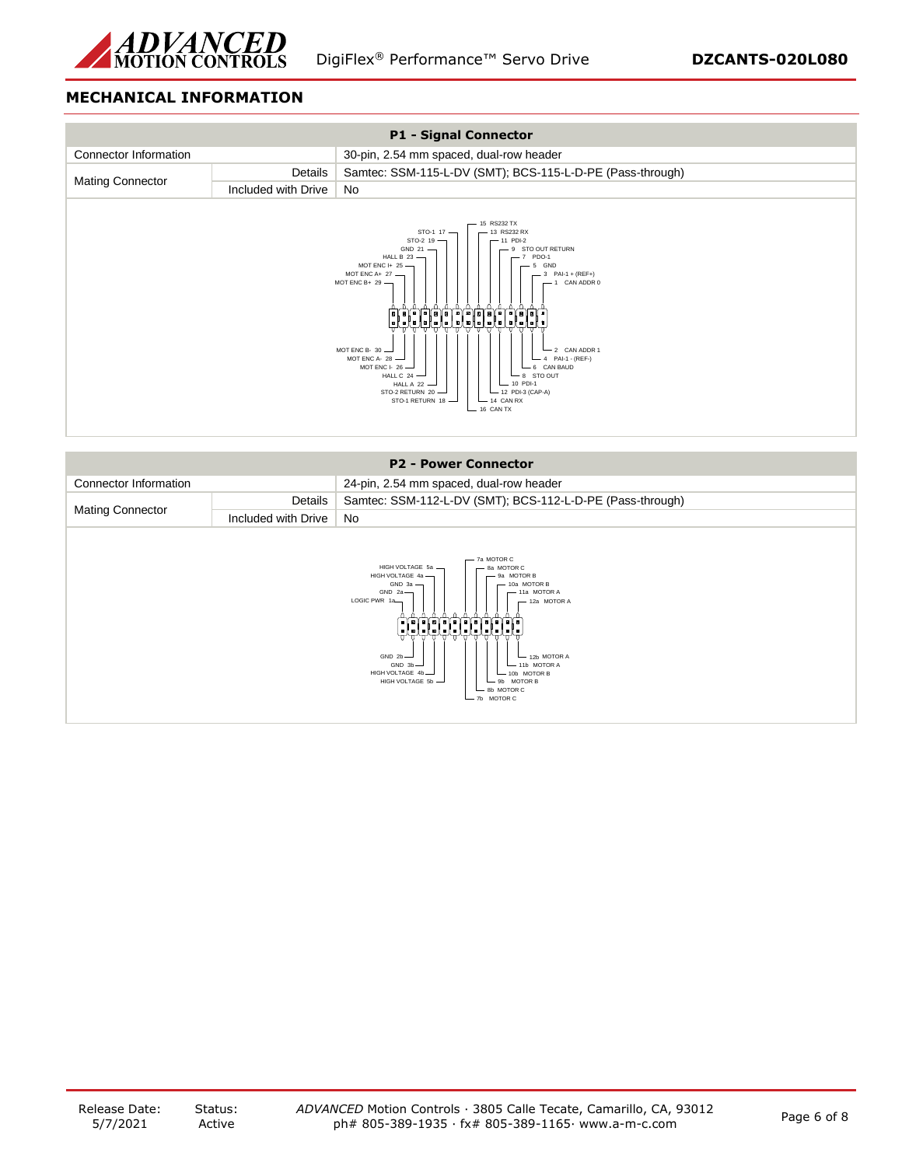

# **MECHANICAL INFORMATION**



| <b>P2 - Power Connector</b>                                                                                                                                                                                                                                                                                                                                                                                                              |                     |                                                           |
|------------------------------------------------------------------------------------------------------------------------------------------------------------------------------------------------------------------------------------------------------------------------------------------------------------------------------------------------------------------------------------------------------------------------------------------|---------------------|-----------------------------------------------------------|
| Connector Information                                                                                                                                                                                                                                                                                                                                                                                                                    |                     | 24-pin, 2.54 mm spaced, dual-row header                   |
|                                                                                                                                                                                                                                                                                                                                                                                                                                          | Details             | Samtec: SSM-112-L-DV (SMT); BCS-112-L-D-PE (Pass-through) |
| <b>Mating Connector</b>                                                                                                                                                                                                                                                                                                                                                                                                                  | Included with Drive | <b>No</b>                                                 |
| - 7a MOTOR C<br>HIGH VOLTAGE 5a -<br>8a MOTOR C<br>HIGH VOLTAGE 4a -<br>9a MOTOR B<br>$GND$ 3a $-$<br>$-10a$ MOTOR B<br>GND <sub>2a</sub><br>11a MOTOR A<br>LOGIC PWR 1a-<br>- 12a MOTOR A<br>يولوا فلعلعلوا والعلوا ولعلوان<br>stetetetetetetetetete<br>᠊᠊ᡉ᠆ᠳ᠂ᢐ<br>᠊᠊ᡨ<br>GND $2b$ $-$<br>- 12b MOTOR A<br>GND 3b<br>- 11b MOTOR A<br>HIGH VOLTAGE 4b-<br>$-10b$ MOTOR B<br>HIGH VOLTAGE 5b -<br>9b MOTOR B<br>8b MOTOR C<br>7b MOTOR C |                     |                                                           |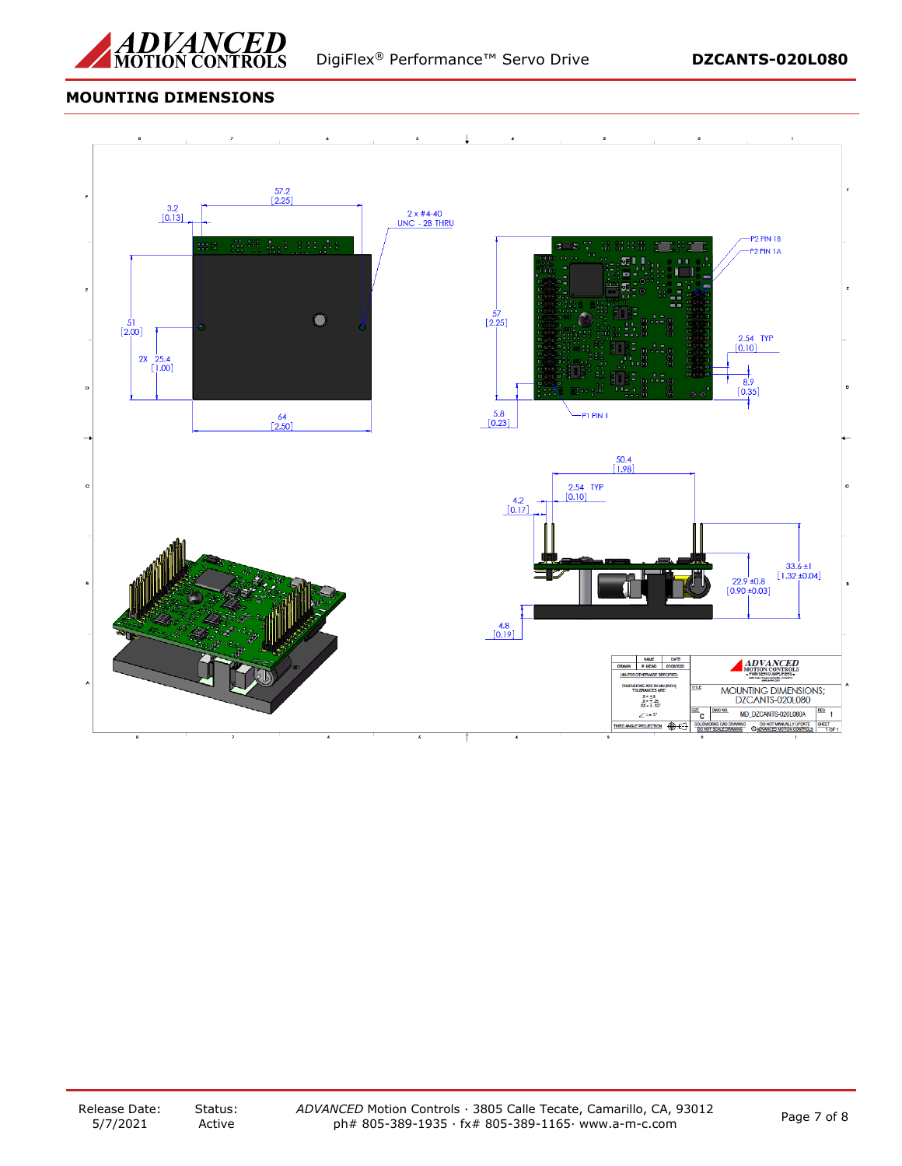

# **MOUNTING DIMENSIONS**